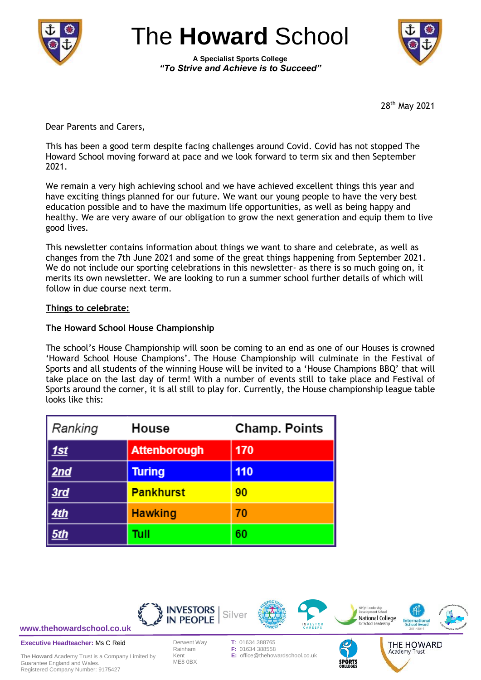

The **Howard** School

**A Specialist Sports College** *"To Strive and Achieve is to Succeed"*



28th May 2021

Dear Parents and Carers,

This has been a good term despite facing challenges around Covid. Covid has not stopped The Howard School moving forward at pace and we look forward to term six and then September 2021.

We remain a very high achieving school and we have achieved excellent things this year and have exciting things planned for our future. We want our young people to have the very best education possible and to have the maximum life opportunities, as well as being happy and healthy. We are very aware of our obligation to grow the next generation and equip them to live good lives.

This newsletter contains information about things we want to share and celebrate, as well as changes from the 7th June 2021 and some of the great things happening from September 2021. We do not include our sporting celebrations in this newsletter- as there is so much going on, it merits its own newsletter. We are looking to run a summer school further details of which will follow in due course next term.

# **Things to celebrate:**

# **The Howard School House Championship**

The school's House Championship will soon be coming to an end as one of our Houses is crowned 'Howard School House Champions'. The House Championship will culminate in the Festival of Sports and all students of the winning House will be invited to a 'House Champions BBQ' that will take place on the last day of term! With a number of events still to take place and Festival of Sports around the corner, it is all still to play for. Currently, the House championship league table looks like this:

| Ranking                              | House                | <b>Champ. Points</b> |
|--------------------------------------|----------------------|----------------------|
| <u>1st</u>                           | <b>Attenborough</b>  | 170                  |
| <u>  2nd</u><br>110<br><b>Turing</b> |                      |                      |
| 3rd                                  | <b>Pankhurst</b>     | 90                   |
| <u>4th</u>                           | <b>Hawking</b><br>70 |                      |
|                                      | Tull                 | 60                   |



**[www.thehowardschool.co.uk](http://www.thehowardschool.co.uk/)**

**Executive Headteacher:** Ms C Reid

The **Howard** Academy Trust is a Company Limited by Guarantee England and Wales. Registered Company Number: 9175427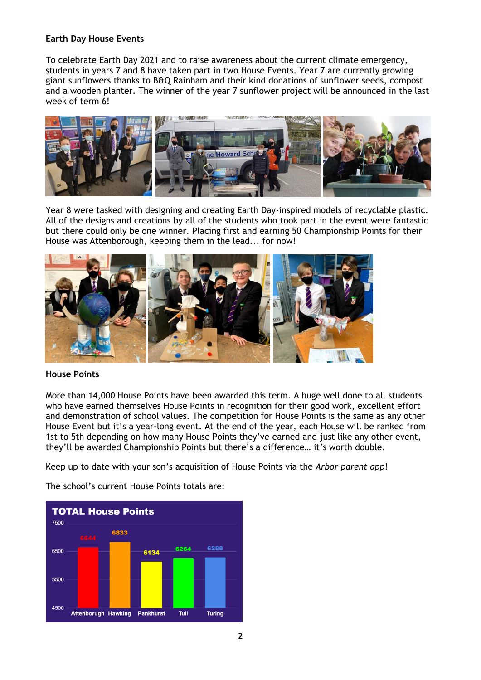## **Earth Day House Events**

To celebrate Earth Day 2021 and to raise awareness about the current climate emergency, students in years 7 and 8 have taken part in two House Events. Year 7 are currently growing giant sunflowers thanks to B&Q Rainham and their kind donations of sunflower seeds, compost and a wooden planter. The winner of the year 7 sunflower project will be announced in the last week of term 6!



Year 8 were tasked with designing and creating Earth Day-inspired models of recyclable plastic. All of the designs and creations by all of the students who took part in the event were fantastic but there could only be one winner. Placing first and earning 50 Championship Points for their House was Attenborough, keeping them in the lead... for now!



## **House Points**

More than 14,000 House Points have been awarded this term. A huge well done to all students who have earned themselves House Points in recognition for their good work, excellent effort and demonstration of school values. The competition for House Points is the same as any other House Event but it's a year-long event. At the end of the year, each House will be ranked from 1st to 5th depending on how many House Points they've earned and just like any other event, they'll be awarded Championship Points but there's a difference… it's worth double.

Keep up to date with your son's acquisition of House Points via the *Arbor parent app*!

The school's current House Points totals are:

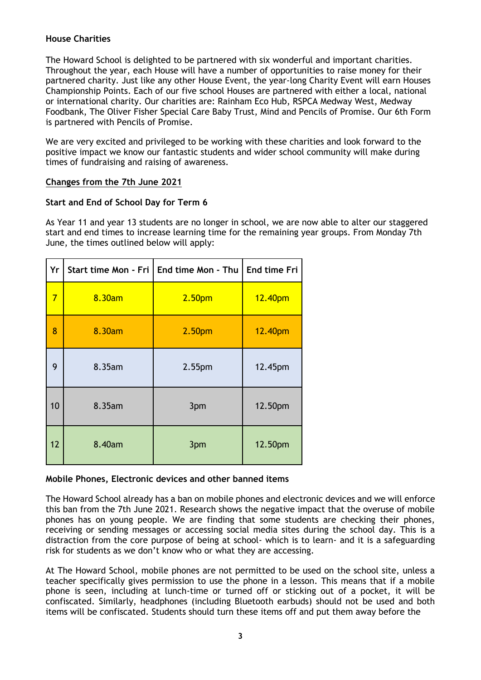# **House Charities**

The Howard School is delighted to be partnered with six wonderful and important charities. Throughout the year, each House will have a number of opportunities to raise money for their partnered charity. Just like any other House Event, the year-long Charity Event will earn Houses Championship Points. Each of our five school Houses are partnered with either a local, national or international charity. Our charities are: Rainham Eco Hub, RSPCA Medway West, Medway Foodbank, The Oliver Fisher Special Care Baby Trust, Mind and Pencils of Promise. Our 6th Form is partnered with Pencils of Promise.

We are very excited and privileged to be working with these charities and look forward to the positive impact we know our fantastic students and wider school community will make during times of fundraising and raising of awareness.

# **Changes from the 7th June 2021**

# **Start and End of School Day for Term 6**

As Year 11 and year 13 students are no longer in school, we are now able to alter our staggered start and end times to increase learning time for the remaining year groups. From Monday 7th June, the times outlined below will apply:

| Yr             |        | Start time Mon - Fri   End time Mon - Thu | End time Fri |
|----------------|--------|-------------------------------------------|--------------|
| $\overline{7}$ | 8.30am | 2.50 <sub>pm</sub>                        | 12.40pm      |
| 8              | 8.30am | 2.50 <sub>pm</sub>                        | 12.40pm      |
| 9              | 8.35am | 2.55 <sub>pm</sub>                        | 12.45pm      |
| 10             | 8.35am | 3pm                                       | 12.50pm      |
| 12             | 8.40am | 3pm                                       | 12.50pm      |

## **Mobile Phones, Electronic devices and other banned items**

The Howard School already has a ban on mobile phones and electronic devices and we will enforce this ban from the 7th June 2021. Research shows the negative impact that the overuse of mobile phones has on young people. We are finding that some students are checking their phones, receiving or sending messages or accessing social media sites during the school day. This is a distraction from the core purpose of being at school- which is to learn- and it is a safeguarding risk for students as we don't know who or what they are accessing.

At The Howard School, mobile phones are not permitted to be used on the school site, unless a teacher specifically gives permission to use the phone in a lesson. This means that if a mobile phone is seen, including at lunch-time or turned off or sticking out of a pocket, it will be confiscated. Similarly, headphones (including Bluetooth earbuds) should not be used and both items will be confiscated. Students should turn these items off and put them away before the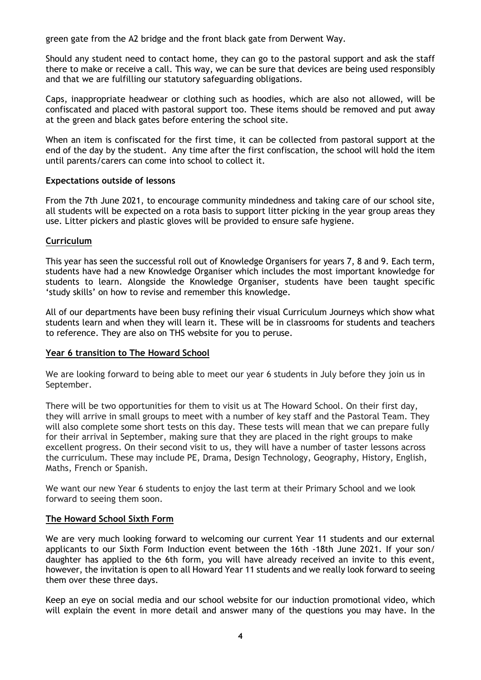green gate from the A2 bridge and the front black gate from Derwent Way.

Should any student need to contact home, they can go to the pastoral support and ask the staff there to make or receive a call. This way, we can be sure that devices are being used responsibly and that we are fulfilling our statutory safeguarding obligations.

Caps, inappropriate headwear or clothing such as hoodies, which are also not allowed, will be confiscated and placed with pastoral support too. These items should be removed and put away at the green and black gates before entering the school site.

When an item is confiscated for the first time, it can be collected from pastoral support at the end of the day by the student. Any time after the first confiscation, the school will hold the item until parents/carers can come into school to collect it.

### **Expectations outside of lessons**

From the 7th June 2021, to encourage community mindedness and taking care of our school site, all students will be expected on a rota basis to support litter picking in the year group areas they use. Litter pickers and plastic gloves will be provided to ensure safe hygiene.

### **Curriculum**

This year has seen the successful roll out of Knowledge Organisers for years 7, 8 and 9. Each term, students have had a new Knowledge Organiser which includes the most important knowledge for students to learn. Alongside the Knowledge Organiser, students have been taught specific 'study skills' on how to revise and remember this knowledge.

All of our departments have been busy refining their visual Curriculum Journeys which show what students learn and when they will learn it. These will be in classrooms for students and teachers to reference. They are also on THS website for you to peruse.

## **Year 6 transition to The Howard School**

We are looking forward to being able to meet our year 6 students in July before they join us in September.

There will be two opportunities for them to visit us at The Howard School. On their first day, they will arrive in small groups to meet with a number of key staff and the Pastoral Team. They will also complete some short tests on this day. These tests will mean that we can prepare fully for their arrival in September, making sure that they are placed in the right groups to make excellent progress. On their second visit to us, they will have a number of taster lessons across the curriculum. These may include PE, Drama, Design Technology, Geography, History, English, Maths, French or Spanish.

We want our new Year 6 students to enjoy the last term at their Primary School and we look forward to seeing them soon.

### **The Howard School Sixth Form**

We are very much looking forward to welcoming our current Year 11 students and our external applicants to our Sixth Form Induction event between the 16th -18th June 2021. If your son/ daughter has applied to the 6th form, you will have already received an invite to this event, however, the invitation is open to all Howard Year 11 students and we really look forward to seeing them over these three days.

Keep an eye on social media and our school website for our induction promotional video, which will explain the event in more detail and answer many of the questions you may have. In the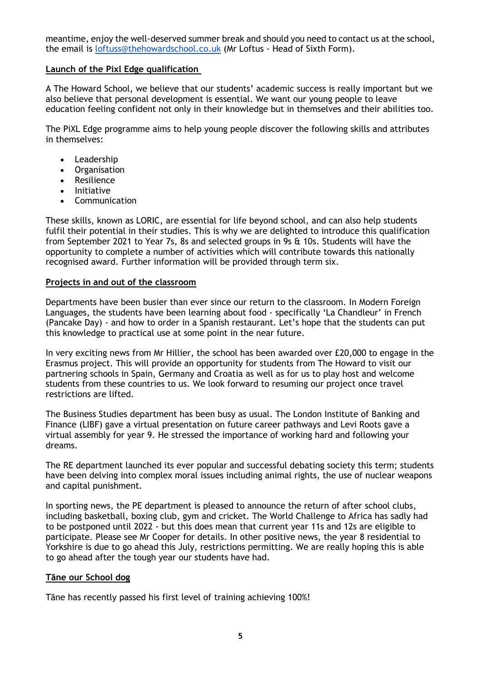meantime, enjoy the well-deserved summer break and should you need to contact us at the school, the email is [loftuss@thehowardschool.co.uk](mailto:loftuss@thehowardschool.co.uk) (Mr Loftus - Head of Sixth Form).

## **Launch of the Pixl Edge qualification**

A The Howard School, we believe that our students' academic success is really important but we also believe that personal development is essential. We want our young people to leave education feeling confident not only in their knowledge but in themselves and their abilities too.

The PiXL Edge programme aims to help young people discover the following skills and attributes in themselves:

- Leadership
- Organisation
- Resilience
- Initiative
- Communication

These skills, known as LORIC, are essential for life beyond school, and can also help students fulfil their potential in their studies. This is why we are delighted to introduce this qualification from September 2021 to Year 7s, 8s and selected groups in 9s & 10s. Students will have the opportunity to complete a number of activities which will contribute towards this nationally recognised award. Further information will be provided through term six.

### **Projects in and out of the classroom**

Departments have been busier than ever since our return to the classroom. In Modern Foreign Languages, the students have been learning about food - specifically 'La Chandleur' in French (Pancake Day) - and how to order in a Spanish restaurant. Let's hope that the students can put this knowledge to practical use at some point in the near future.

In very exciting news from Mr Hillier, the school has been awarded over £20,000 to engage in the Erasmus project. This will provide an opportunity for students from The Howard to visit our partnering schools in Spain, Germany and Croatia as well as for us to play host and welcome students from these countries to us. We look forward to resuming our project once travel restrictions are lifted.

The Business Studies department has been busy as usual. The London Institute of Banking and Finance (LIBF) gave a virtual presentation on future career pathways and Levi Roots gave a virtual assembly for year 9. He stressed the importance of working hard and following your dreams.

The RE department launched its ever popular and successful debating society this term; students have been delving into complex moral issues including animal rights, the use of nuclear weapons and capital punishment.

In sporting news, the PE department is pleased to announce the return of after school clubs, including basketball, boxing club, gym and cricket. The World Challenge to Africa has sadly had to be postponed until 2022 - but this does mean that current year 11s and 12s are eligible to participate. Please see Mr Cooper for details. In other positive news, the year 8 residential to Yorkshire is due to go ahead this July, restrictions permitting. We are really hoping this is able to go ahead after the tough year our students have had.

### **Tāne our School dog**

Tāne has recently passed his first level of training achieving 100%!